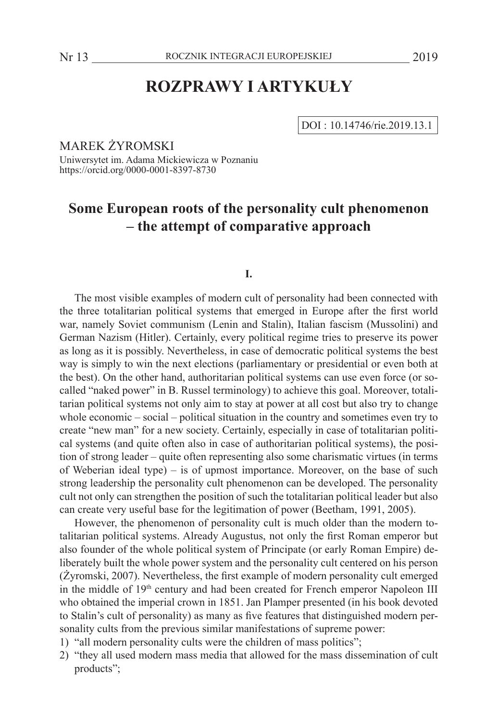# **ROZPRAWY I ARTYKUŁY**

DOI : 10.14746/rie.2019.13.1

MAREK ŻYROMSKI

Uniwersytet im. Adama Mickiewicza w Poznaniu https://orcid.org/0000-0001-8397-8730

# **Some European roots of the personality cult phenomenon – the attempt of comparative approach**

# **I.**

The most visible examples of modern cult of personality had been connected with the three totalitarian political systems that emerged in Europe after the first world war, namely Soviet communism (Lenin and Stalin), Italian fascism (Mussolini) and German Nazism (Hitler). Certainly, every political regime tries to preserve its power as long as it is possibly. Nevertheless, in case of democratic political systems the best way is simply to win the next elections (parliamentary or presidential or even both at the best). On the other hand, authoritarian political systems can use even force (or socalled "naked power" in B. Russel terminology) to achieve this goal. Moreover, totalitarian political systems not only aim to stay at power at all cost but also try to change whole economic – social – political situation in the country and sometimes even try to create "new man" for a new society. Certainly, especially in case of totalitarian political systems (and quite often also in case of authoritarian political systems), the position of strong leader – quite often representing also some charismatic virtues (in terms of Weberian ideal type) – is of upmost importance. Moreover, on the base of such strong leadership the personality cult phenomenon can be developed. The personality cult not only can strengthen the position of such the totalitarian political leader but also can create very useful base for the legitimation of power (Beetham, 1991, 2005).

However, the phenomenon of personality cult is much older than the modern totalitarian political systems. Already Augustus, not only the first Roman emperor but also founder of the whole political system of Principate (or early Roman Empire) deliberately built the whole power system and the personality cult centered on his person (Żyromski, 2007). Nevertheless, the first example of modern personality cult emerged in the middle of 19<sup>th</sup> century and had been created for French emperor Napoleon III who obtained the imperial crown in 1851. Jan Plamper presented (in his book devoted to Stalin's cult of personality) as many as five features that distinguished modern personality cults from the previous similar manifestations of supreme power:

- 1) "all modern personality cults were the children of mass politics";
- 2) "they all used modern mass media that allowed for the mass dissemination of cult products";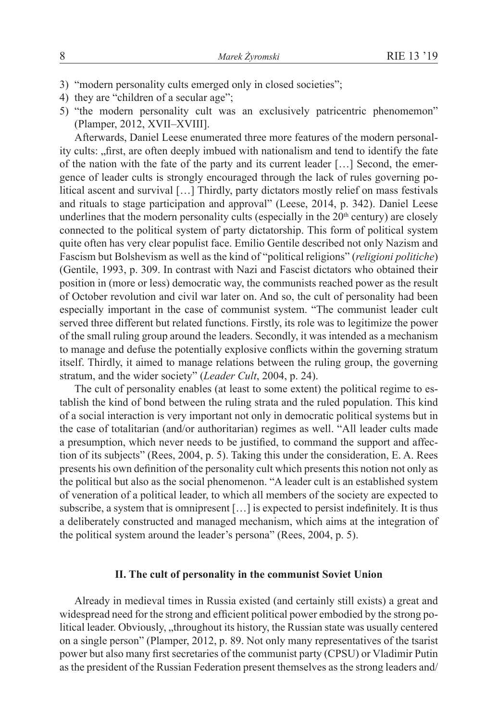- 3) "modern personality cults emerged only in closed societies";
- 4) they are "children of a secular age";
- 5) "the modern personality cult was an exclusively patricentric phenomemon" (Plamper, 2012, XVII–XVIII].

Afterwards, Daniel Leese enumerated three more features of the modern personality cults: "first, are often deeply imbued with nationalism and tend to identify the fate of the nation with the fate of the party and its current leader […] Second, the emergence of leader cults is strongly encouraged through the lack of rules governing political ascent and survival […] Thirdly, party dictators mostly relief on mass festivals and rituals to stage participation and approval" (Leese, 2014, p. 342). Daniel Leese underlines that the modern personality cults (especially in the  $20<sup>th</sup>$  century) are closely connected to the political system of party dictatorship. This form of political system quite often has very clear populist face. Emilio Gentile described not only Nazism and Fascism but Bolshevism as well as the kind of "political religions" (*religioni politiche*) (Gentile, 1993, p. 309. In contrast with Nazi and Fascist dictators who obtained their position in (more or less) democratic way, the communists reached power as the result of October revolution and civil war later on. And so, the cult of personality had been especially important in the case of communist system. "The communist leader cult served three different but related functions. Firstly, its role was to legitimize the power of the small ruling group around the leaders. Secondly, it was intended as a mechanism to manage and defuse the potentially explosive conflicts within the governing stratum itself. Thirdly, it aimed to manage relations between the ruling group, the governing stratum, and the wider society" (*Leader Cult*, 2004, p. 24).

The cult of personality enables (at least to some extent) the political regime to establish the kind of bond between the ruling strata and the ruled population. This kind of a social interaction is very important not only in democratic political systems but in the case of totalitarian (and/or authoritarian) regimes as well. "All leader cults made a presumption, which never needs to be justified, to command the support and affection of its subjects" (Rees, 2004, p. 5). Taking this under the consideration, E. A. Rees presents his own definition of the personality cult which presents this notion not only as the political but also as the social phenomenon. "A leader cult is an established system of veneration of a political leader, to which all members of the society are expected to subscribe, a system that is omnipresent […] is expected to persist indefinitely. It is thus a deliberately constructed and managed mechanism, which aims at the integration of the political system around the leader's persona" (Rees, 2004, p. 5).

# **II. The cult of personality in the communist Soviet Union**

Already in medieval times in Russia existed (and certainly still exists) a great and widespread need for the strong and efficient political power embodied by the strong political leader. Obviously, "throughout its history, the Russian state was usually centered on a single person" (Plamper, 2012, p. 89. Not only many representatives of the tsarist power but also many first secretaries of the communist party (CPSU) or Vladimir Putin as the president of the Russian Federation present themselves as the strong leaders and/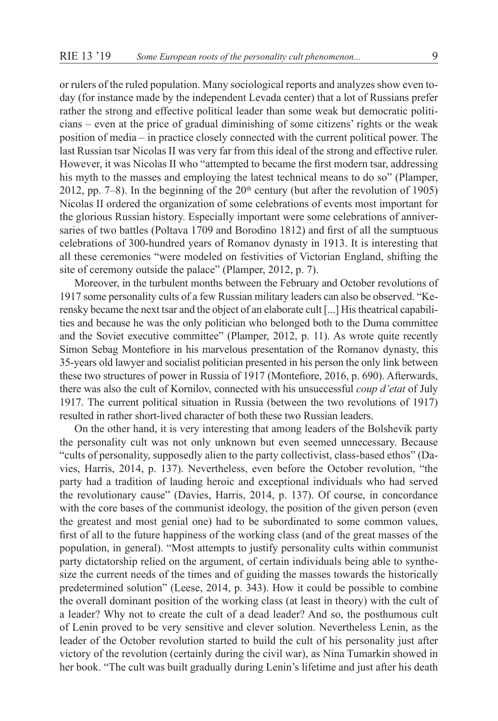or rulers of the ruled population. Many sociological reports and analyzes show even today (for instance made by the independent Levada center) that a lot of Russians prefer rather the strong and effective political leader than some weak but democratic politicians – even at the price of gradual diminishing of some citizens' rights or the weak position of media – in practice closely connected with the current political power. The last Russian tsar Nicolas II was very far from this ideal of the strong and effective ruler. However, it was Nicolas II who "attempted to became the first modern tsar, addressing his myth to the masses and employing the latest technical means to do so" (Plamper, 2012, pp. 7–8). In the beginning of the  $20<sup>th</sup>$  century (but after the revolution of 1905) Nicolas II ordered the organization of some celebrations of events most important for the glorious Russian history. Especially important were some celebrations of anniversaries of two battles (Poltava 1709 and Borodino 1812) and first of all the sumptuous celebrations of 300-hundred years of Romanov dynasty in 1913. It is interesting that all these ceremonies "were modeled on festivities of Victorian England, shifting the site of ceremony outside the palace" (Plamper, 2012, p. 7).

Moreover, in the turbulent months between the February and October revolutions of 1917 some personality cults of a few Russian military leaders can also be observed. "Kerensky became the next tsar and the object of an elaborate cult [...] His theatrical capabilities and because he was the only politician who belonged both to the Duma committee and the Soviet executive committee" (Plamper, 2012, p. 11). As wrote quite recently Simon Sebag Montefiore in his marvelous presentation of the Romanov dynasty, this 35-years old lawyer and socialist politician presented in his person the only link between these two structures of power in Russia of 1917 (Montefiore, 2016, p. 690). Afterwards, there was also the cult of Kornilov, connected with his unsuccessful *coup d'etat* of July 1917. The current political situation in Russia (between the two revolutions of 1917) resulted in rather short-lived character of both these two Russian leaders.

On the other hand, it is very interesting that among leaders of the Bolshevik party the personality cult was not only unknown but even seemed unnecessary. Because "cults of personality, supposedly alien to the party collectivist, class-based ethos" (Davies, Harris, 2014, p. 137). Nevertheless, even before the October revolution, "the party had a tradition of lauding heroic and exceptional individuals who had served the revolutionary cause" (Davies, Harris, 2014, p. 137). Of course, in concordance with the core bases of the communist ideology, the position of the given person (even the greatest and most genial one) had to be subordinated to some common values, first of all to the future happiness of the working class (and of the great masses of the population, in general). "Most attempts to justify personality cults within communist party dictatorship relied on the argument, of certain individuals being able to synthesize the current needs of the times and of guiding the masses towards the historically predetermined solution" (Leese, 2014, p. 343). How it could be possible to combine the overall dominant position of the working class (at least in theory) with the cult of a leader? Why not to create the cult of a dead leader? And so, the posthumous cult of Lenin proved to be very sensitive and clever solution. Nevertheless Lenin, as the leader of the October revolution started to build the cult of his personality just after victory of the revolution (certainly during the civil war), as Nina Tumarkin showed in her book. "The cult was built gradually during Lenin's lifetime and just after his death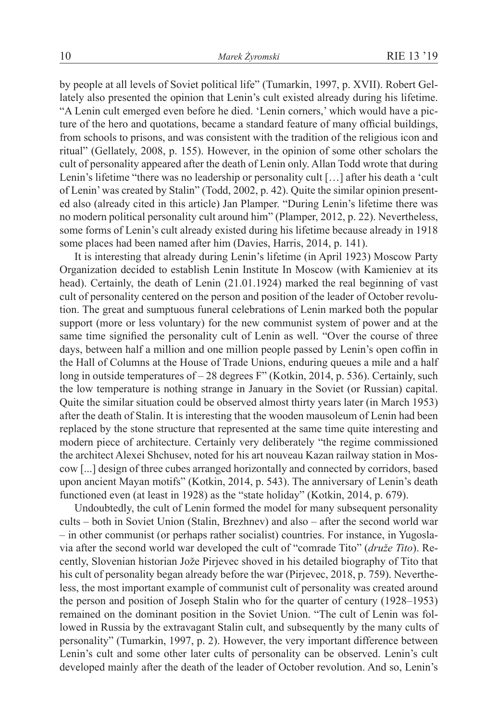by people at all levels of Soviet political life" (Tumarkin, 1997, p. XVII). Robert Gellately also presented the opinion that Lenin's cult existed already during his lifetime. "A Lenin cult emerged even before he died. 'Lenin corners,' which would have a picture of the hero and quotations, became a standard feature of many official buildings, from schools to prisons, and was consistent with the tradition of the religious icon and ritual" (Gellately, 2008, p. 155). However, in the opinion of some other scholars the cult of personality appeared after the death of Lenin only. Allan Todd wrote that during Lenin's lifetime "there was no leadership or personality cult […] after his death a 'cult of Lenin' was created by Stalin" (Todd, 2002, p. 42). Quite the similar opinion presented also (already cited in this article) Jan Plamper. "During Lenin's lifetime there was no modern political personality cult around him" (Plamper, 2012, p. 22). Nevertheless, some forms of Lenin's cult already existed during his lifetime because already in 1918 some places had been named after him (Davies, Harris, 2014, p. 141).

It is interesting that already during Lenin's lifetime (in April 1923) Moscow Party Organization decided to establish Lenin Institute In Moscow (with Kamieniev at its head). Certainly, the death of Lenin (21.01.1924) marked the real beginning of vast cult of personality centered on the person and position of the leader of October revolution. The great and sumptuous funeral celebrations of Lenin marked both the popular support (more or less voluntary) for the new communist system of power and at the same time signified the personality cult of Lenin as well. "Over the course of three days, between half a million and one million people passed by Lenin's open coffin in the Hall of Columns at the House of Trade Unions, enduring queues a mile and a half long in outside temperatures of – 28 degrees F" (Kotkin, 2014, p. 536). Certainly, such the low temperature is nothing strange in January in the Soviet (or Russian) capital. Quite the similar situation could be observed almost thirty years later (in March 1953) after the death of Stalin. It is interesting that the wooden mausoleum of Lenin had been replaced by the stone structure that represented at the same time quite interesting and modern piece of architecture. Certainly very deliberately "the regime commissioned the architect Alexei Shchusev, noted for his art nouveau Kazan railway station in Moscow [...] design of three cubes arranged horizontally and connected by corridors, based upon ancient Mayan motifs" (Kotkin, 2014, p. 543). The anniversary of Lenin's death functioned even (at least in 1928) as the "state holiday" (Kotkin, 2014, p. 679).

Undoubtedly, the cult of Lenin formed the model for many subsequent personality cults – both in Soviet Union (Stalin, Brezhnev) and also – after the second world war – in other communist (or perhaps rather socialist) countries. For instance, in Yugoslavia after the second world war developed the cult of "comrade Tito" (*druže Tito*). Recently, Slovenian historian Jože Pirjevec shoved in his detailed biography of Tito that his cult of personality began already before the war (Pirjevec, 2018, p. 759). Nevertheless, the most important example of communist cult of personality was created around the person and position of Joseph Stalin who for the quarter of century (1928–1953) remained on the dominant position in the Soviet Union. "The cult of Lenin was followed in Russia by the extravagant Stalin cult, and subsequently by the many cults of personality" (Tumarkin, 1997, p. 2). However, the very important difference between Lenin's cult and some other later cults of personality can be observed. Lenin's cult developed mainly after the death of the leader of October revolution. And so, Lenin's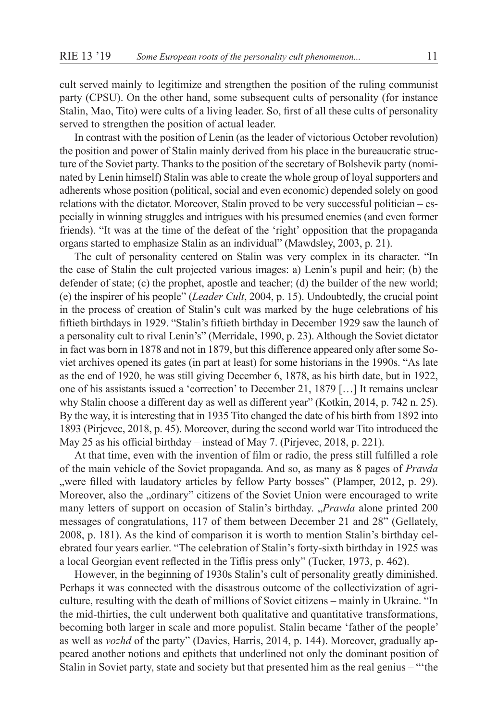cult served mainly to legitimize and strengthen the position of the ruling communist party (CPSU). On the other hand, some subsequent cults of personality (for instance Stalin, Mao, Tito) were cults of a living leader. So, first of all these cults of personality served to strengthen the position of actual leader.

In contrast with the position of Lenin (as the leader of victorious October revolution) the position and power of Stalin mainly derived from his place in the bureaucratic structure of the Soviet party. Thanks to the position of the secretary of Bolshevik party (nominated by Lenin himself) Stalin was able to create the whole group of loyal supporters and adherents whose position (political, social and even economic) depended solely on good relations with the dictator. Moreover, Stalin proved to be very successful politician – especially in winning struggles and intrigues with his presumed enemies (and even former friends). "It was at the time of the defeat of the 'right' opposition that the propaganda organs started to emphasize Stalin as an individual" (Mawdsley, 2003, p. 21).

The cult of personality centered on Stalin was very complex in its character. "In the case of Stalin the cult projected various images: a) Lenin's pupil and heir; (b) the defender of state; (c) the prophet, apostle and teacher; (d) the builder of the new world; (e) the inspirer of his people" (*Leader Cult*, 2004, p. 15). Undoubtedly, the crucial point in the process of creation of Stalin's cult was marked by the huge celebrations of his fiftieth birthdays in 1929. "Stalin's fiftieth birthday in December 1929 saw the launch of a personality cult to rival Lenin's" (Merridale, 1990, p. 23). Although the Soviet dictator in fact was born in 1878 and not in 1879, but this difference appeared only after some Soviet archives opened its gates (in part at least) for some historians in the 1990s. "As late as the end of 1920, he was still giving December 6, 1878, as his birth date, but in 1922, one of his assistants issued a 'correction' to December 21, 1879 […] It remains unclear why Stalin choose a different day as well as different year" (Kotkin, 2014, p. 742 n. 25). By the way, it is interesting that in 1935 Tito changed the date of his birth from 1892 into 1893 (Pirjevec, 2018, p. 45). Moreover, during the second world war Tito introduced the May 25 as his official birthday – instead of May 7. (Pirjevec, 2018, p. 221).

At that time, even with the invention of film or radio, the press still fulfilled a role of the main vehicle of the Soviet propaganda. And so, as many as 8 pages of *Pravda*  ", were filled with laudatory articles by fellow Party bosses" (Plamper, 2012, p. 29). Moreover, also the "ordinary" citizens of the Soviet Union were encouraged to write many letters of support on occasion of Stalin's birthday. "*Pravda* alone printed 200 messages of congratulations, 117 of them between December 21 and 28" (Gellately, 2008, p. 181). As the kind of comparison it is worth to mention Stalin's birthday celebrated four years earlier. "The celebration of Stalin's forty-sixth birthday in 1925 was a local Georgian event reflected in the Tiflis press only" (Tucker, 1973, p. 462).

However, in the beginning of 1930s Stalin's cult of personality greatly diminished. Perhaps it was connected with the disastrous outcome of the collectivization of agriculture, resulting with the death of millions of Soviet citizens – mainly in Ukraine. "In the mid-thirties, the cult underwent both qualitative and quantitative transformations, becoming both larger in scale and more populist. Stalin became 'father of the people' as well as *vozhd* of the party" (Davies, Harris, 2014, p. 144). Moreover, gradually appeared another notions and epithets that underlined not only the dominant position of Stalin in Soviet party, state and society but that presented him as the real genius – "'the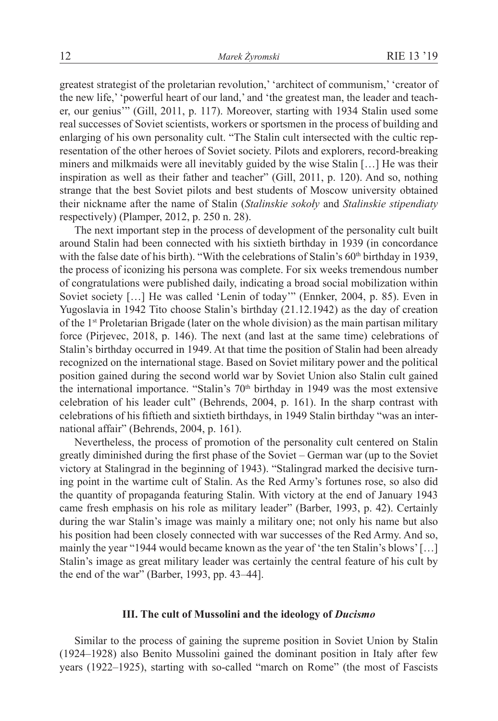greatest strategist of the proletarian revolution,' 'architect of communism,' 'creator of the new life,' 'powerful heart of our land,' and 'the greatest man, the leader and teacher, our genius'" (Gill, 2011, p. 117). Moreover, starting with 1934 Stalin used some real successes of Soviet scientists, workers or sportsmen in the process of building and enlarging of his own personality cult. "The Stalin cult intersected with the cultic representation of the other heroes of Soviet society. Pilots and explorers, record-breaking miners and milkmaids were all inevitably guided by the wise Stalin […] He was their inspiration as well as their father and teacher" (Gill, 2011, p. 120). And so, nothing strange that the best Soviet pilots and best students of Moscow university obtained their nickname after the name of Stalin (*Stalinskie sokoły* and *Stalinskie stipendiaty* respectively) (Plamper, 2012, p. 250 n. 28).

The next important step in the process of development of the personality cult built around Stalin had been connected with his sixtieth birthday in 1939 (in concordance with the false date of his birth). "With the celebrations of Stalin's 60<sup>th</sup> birthday in 1939, the process of iconizing his persona was complete. For six weeks tremendous number of congratulations were published daily, indicating a broad social mobilization within Soviet society […] He was called 'Lenin of today'" (Ennker, 2004, p. 85). Even in Yugoslavia in 1942 Tito choose Stalin's birthday (21.12.1942) as the day of creation of the 1st Proletarian Brigade (later on the whole division) as the main partisan military force (Pirjevec, 2018, p. 146). The next (and last at the same time) celebrations of Stalin's birthday occurred in 1949. At that time the position of Stalin had been already recognized on the international stage. Based on Soviet military power and the political position gained during the second world war by Soviet Union also Stalin cult gained the international importance. "Stalin's  $70<sup>th</sup>$  birthday in 1949 was the most extensive celebration of his leader cult" (Behrends, 2004, p. 161). In the sharp contrast with celebrations of his fiftieth and sixtieth birthdays, in 1949 Stalin birthday "was an international affair" (Behrends, 2004, p. 161).

Nevertheless, the process of promotion of the personality cult centered on Stalin greatly diminished during the first phase of the Soviet – German war (up to the Soviet victory at Stalingrad in the beginning of 1943). "Stalingrad marked the decisive turning point in the wartime cult of Stalin. As the Red Army's fortunes rose, so also did the quantity of propaganda featuring Stalin. With victory at the end of January 1943 came fresh emphasis on his role as military leader" (Barber, 1993, p. 42). Certainly during the war Stalin's image was mainly a military one; not only his name but also his position had been closely connected with war successes of the Red Army. And so, mainly the year "1944 would became known as the year of 'the ten Stalin's blows' […] Stalin's image as great military leader was certainly the central feature of his cult by the end of the war" (Barber, 1993, pp. 43–44].

#### **III. The cult of Mussolini and the ideology of** *Ducismo*

Similar to the process of gaining the supreme position in Soviet Union by Stalin (1924–1928) also Benito Mussolini gained the dominant position in Italy after few years (1922–1925), starting with so-called "march on Rome" (the most of Fascists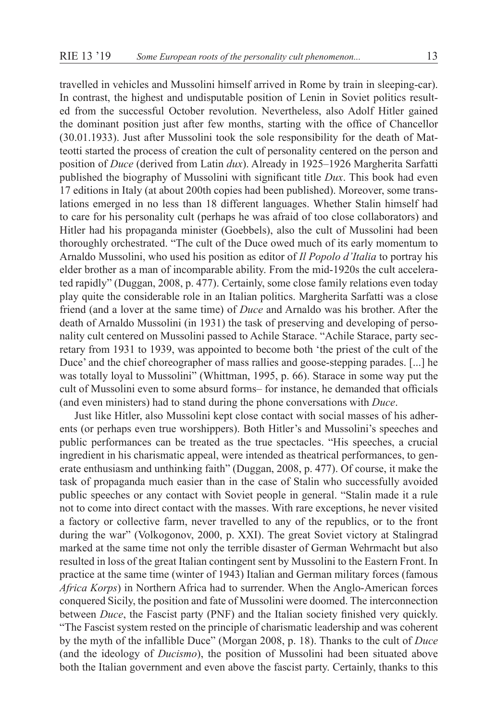travelled in vehicles and Mussolini himself arrived in Rome by train in sleeping-car). In contrast, the highest and undisputable position of Lenin in Soviet politics resulted from the successful October revolution. Nevertheless, also Adolf Hitler gained the dominant position just after few months, starting with the office of Chancellor (30.01.1933). Just after Mussolini took the sole responsibility for the death of Matteotti started the process of creation the cult of personality centered on the person and position of *Duce* (derived from Latin *dux*). Already in 1925–1926 Margherita Sarfatti published the biography of Mussolini with significant title *Dux*. This book had even 17 editions in Italy (at about 200th copies had been published). Moreover, some translations emerged in no less than 18 different languages. Whether Stalin himself had to care for his personality cult (perhaps he was afraid of too close collaborators) and Hitler had his propaganda minister (Goebbels), also the cult of Mussolini had been thoroughly orchestrated. "The cult of the Duce owed much of its early momentum to Arnaldo Mussolini, who used his position as editor of *Il Popolo d'Italia* to portray his elder brother as a man of incomparable ability. From the mid-1920s the cult accelerated rapidly" (Duggan, 2008, p. 477). Certainly, some close family relations even today play quite the considerable role in an Italian politics. Margherita Sarfatti was a close friend (and a lover at the same time) of *Duce* and Arnaldo was his brother. After the death of Arnaldo Mussolini (in 1931) the task of preserving and developing of personality cult centered on Mussolini passed to Achile Starace. "Achile Starace, party secretary from 1931 to 1939, was appointed to become both 'the priest of the cult of the Duce' and the chief choreographer of mass rallies and goose-stepping parades. [...] he was totally loyal to Mussolini" (Whittman, 1995, p. 66). Starace in some way put the cult of Mussolini even to some absurd forms– for instance, he demanded that officials

Just like Hitler, also Mussolini kept close contact with social masses of his adherents (or perhaps even true worshippers). Both Hitler's and Mussolini's speeches and public performances can be treated as the true spectacles. "His speeches, a crucial ingredient in his charismatic appeal, were intended as theatrical performances, to generate enthusiasm and unthinking faith" (Duggan, 2008, p. 477). Of course, it make the task of propaganda much easier than in the case of Stalin who successfully avoided public speeches or any contact with Soviet people in general. "Stalin made it a rule not to come into direct contact with the masses. With rare exceptions, he never visited a factory or collective farm, never travelled to any of the republics, or to the front during the war" (Volkogonov, 2000, p. XXI). The great Soviet victory at Stalingrad marked at the same time not only the terrible disaster of German Wehrmacht but also resulted in loss of the great Italian contingent sent by Mussolini to the Eastern Front. In practice at the same time (winter of 1943) Italian and German military forces (famous *Africa Korps*) in Northern Africa had to surrender. When the Anglo-American forces conquered Sicily, the position and fate of Mussolini were doomed. The interconnection between *Duce*, the Fascist party (PNF) and the Italian society finished very quickly. "The Fascist system rested on the principle of charismatic leadership and was coherent by the myth of the infallible Duce" (Morgan 2008, p. 18). Thanks to the cult of *Duce* (and the ideology of *Ducismo*), the position of Mussolini had been situated above both the Italian government and even above the fascist party. Certainly, thanks to this

(and even ministers) had to stand during the phone conversations with *Duce*.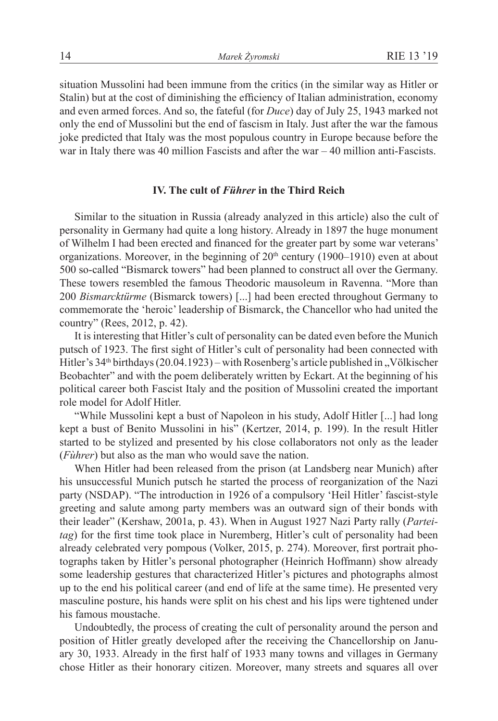situation Mussolini had been immune from the critics (in the similar way as Hitler or Stalin) but at the cost of diminishing the efficiency of Italian administration, economy and even armed forces. And so, the fateful (for *Duce*) day of July 25, 1943 marked not only the end of Mussolini but the end of fascism in Italy. Just after the war the famous joke predicted that Italy was the most populous country in Europe because before the war in Italy there was 40 million Fascists and after the war – 40 million anti-Fascists.

# **IV. The cult of** *Führer* **in the Third Reich**

Similar to the situation in Russia (already analyzed in this article) also the cult of personality in Germany had quite a long history. Already in 1897 the huge monument of Wilhelm I had been erected and financed for the greater part by some war veterans' organizations. Moreover, in the beginning of  $20<sup>th</sup>$  century (1900–1910) even at about 500 so-called "Bismarck towers" had been planned to construct all over the Germany. These towers resembled the famous Theodoric mausoleum in Ravenna. "More than 200 *Bismarcktürme* (Bismarck towers) [...] had been erected throughout Germany to commemorate the 'heroic' leadership of Bismarck, the Chancellor who had united the country" (Rees, 2012, p. 42).

It is interesting that Hitler's cult of personality can be dated even before the Munich putsch of 1923. The first sight of Hitler's cult of personality had been connected with Hitler's  $34<sup>th</sup>$  birthdays (20.04.1923) – with Rosenberg's article published in  $N$ ölkischer Beobachter" and with the poem deliberately written by Eckart. At the beginning of his political career both Fascist Italy and the position of Mussolini created the important role model for Adolf Hitler.

"While Mussolini kept a bust of Napoleon in his study, Adolf Hitler [...] had long kept a bust of Benito Mussolini in his" (Kertzer, 2014, p. 199). In the result Hitler started to be stylized and presented by his close collaborators not only as the leader (*Fùhrer*) but also as the man who would save the nation.

When Hitler had been released from the prison (at Landsberg near Munich) after his unsuccessful Munich putsch he started the process of reorganization of the Nazi party (NSDAP). "The introduction in 1926 of a compulsory 'Heil Hitler' fascist-style greeting and salute among party members was an outward sign of their bonds with their leader" (Kershaw, 2001a, p. 43). When in August 1927 Nazi Party rally (*Parteitag*) for the first time took place in Nuremberg, Hitler's cult of personality had been already celebrated very pompous (Volker, 2015, p. 274). Moreover, first portrait photographs taken by Hitler's personal photographer (Heinrich Hoffmann) show already some leadership gestures that characterized Hitler's pictures and photographs almost up to the end his political career (and end of life at the same time). He presented very masculine posture, his hands were split on his chest and his lips were tightened under his famous moustache.

Undoubtedly, the process of creating the cult of personality around the person and position of Hitler greatly developed after the receiving the Chancellorship on January 30, 1933. Already in the first half of 1933 many towns and villages in Germany chose Hitler as their honorary citizen. Moreover, many streets and squares all over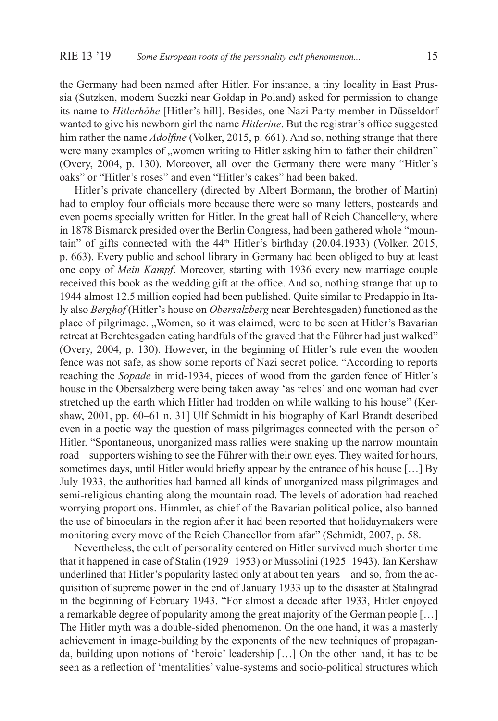the Germany had been named after Hitler. For instance, a tiny locality in East Prussia (Sutzken, modern Suczki near Gołdap in Poland) asked for permission to change its name to *Hitlerhöhe* [Hitler's hill]. Besides, one Nazi Party member in Düsseldorf wanted to give his newborn girl the name *Hitlerine*. But the registrar's office suggested him rather the name *Adolfine* (Volker, 2015, p. 661). And so, nothing strange that there were many examples of "women writing to Hitler asking him to father their children" (Overy, 2004, p. 130). Moreover, all over the Germany there were many "Hitler's oaks" or "Hitler's roses" and even "Hitler's cakes" had been baked.

Hitler's private chancellery (directed by Albert Bormann, the brother of Martin) had to employ four officials more because there were so many letters, postcards and even poems specially written for Hitler. In the great hall of Reich Chancellery, where in 1878 Bismarck presided over the Berlin Congress, had been gathered whole "mountain" of gifts connected with the  $44<sup>th</sup>$  Hitler's birthday (20.04.1933) (Volker. 2015, p. 663). Every public and school library in Germany had been obliged to buy at least one copy of *Mein Kampf*. Moreover, starting with 1936 every new marriage couple received this book as the wedding gift at the office. And so, nothing strange that up to 1944 almost 12.5 million copied had been published. Quite similar to Predappio in Italy also *Berghof* (Hitler's house on *Obersalzberg* near Berchtesgaden) functioned as the place of pilgrimage. "Women, so it was claimed, were to be seen at Hitler's Bavarian retreat at Berchtesgaden eating handfuls of the graved that the Führer had just walked" (Overy, 2004, p. 130). However, in the beginning of Hitler's rule even the wooden fence was not safe, as show some reports of Nazi secret police. "According to reports reaching the *Sopade* in mid-1934, pieces of wood from the garden fence of Hitler's house in the Obersalzberg were being taken away 'as relics' and one woman had ever stretched up the earth which Hitler had trodden on while walking to his house" (Kershaw, 2001, pp. 60–61 n. 31] Ulf Schmidt in his biography of Karl Brandt described even in a poetic way the question of mass pilgrimages connected with the person of Hitler. "Spontaneous, unorganized mass rallies were snaking up the narrow mountain road – supporters wishing to see the Führer with their own eyes. They waited for hours, sometimes days, until Hitler would briefly appear by the entrance of his house […] By July 1933, the authorities had banned all kinds of unorganized mass pilgrimages and semi-religious chanting along the mountain road. The levels of adoration had reached worrying proportions. Himmler, as chief of the Bavarian political police, also banned the use of binoculars in the region after it had been reported that holidaymakers were monitoring every move of the Reich Chancellor from afar" (Schmidt, 2007, p. 58.

Nevertheless, the cult of personality centered on Hitler survived much shorter time that it happened in case of Stalin (1929–1953) or Mussolini (1925–1943). Ian Kershaw underlined that Hitler's popularity lasted only at about ten years – and so, from the acquisition of supreme power in the end of January 1933 up to the disaster at Stalingrad in the beginning of February 1943. "For almost a decade after 1933, Hitler enjoyed a remarkable degree of popularity among the great majority of the German people […] The Hitler myth was a double-sided phenomenon. On the one hand, it was a masterly achievement in image-building by the exponents of the new techniques of propaganda, building upon notions of 'heroic' leadership […] On the other hand, it has to be seen as a reflection of 'mentalities' value-systems and socio-political structures which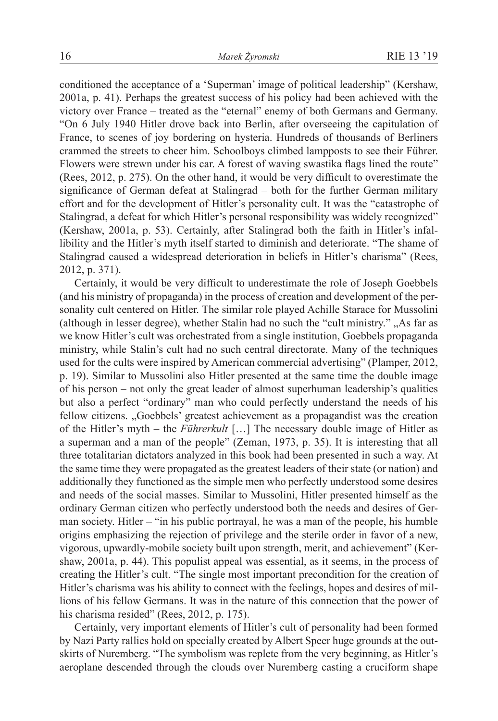conditioned the acceptance of a 'Superman' image of political leadership" (Kershaw, 2001a, p. 41). Perhaps the greatest success of his policy had been achieved with the victory over France – treated as the "eternal" enemy of both Germans and Germany. "On 6 July 1940 Hitler drove back into Berlin, after overseeing the capitulation of France, to scenes of joy bordering on hysteria. Hundreds of thousands of Berliners crammed the streets to cheer him. Schoolboys climbed lampposts to see their Führer. Flowers were strewn under his car. A forest of waving swastika flags lined the route" (Rees, 2012, p. 275). On the other hand, it would be very difficult to overestimate the significance of German defeat at Stalingrad – both for the further German military effort and for the development of Hitler's personality cult. It was the "catastrophe of Stalingrad, a defeat for which Hitler's personal responsibility was widely recognized" (Kershaw, 2001a, p. 53). Certainly, after Stalingrad both the faith in Hitler's infallibility and the Hitler's myth itself started to diminish and deteriorate. "The shame of Stalingrad caused a widespread deterioration in beliefs in Hitler's charisma" (Rees, 2012, p. 371).

Certainly, it would be very difficult to underestimate the role of Joseph Goebbels (and his ministry of propaganda) in the process of creation and development of the personality cult centered on Hitler. The similar role played Achille Starace for Mussolini (although in lesser degree), whether Stalin had no such the "cult ministry." "As far as we know Hitler's cult was orchestrated from a single institution, Goebbels propaganda ministry, while Stalin's cult had no such central directorate. Many of the techniques used for the cults were inspired by American commercial advertising" (Plamper, 2012, p. 19). Similar to Mussolini also Hitler presented at the same time the double image of his person – not only the great leader of almost superhuman leadership's qualities but also a perfect "ordinary" man who could perfectly understand the needs of his fellow citizens. "Goebbels' greatest achievement as a propagandist was the creation of the Hitler's myth – the *Führerkult* […] The necessary double image of Hitler as a superman and a man of the people" (Zeman, 1973, p. 35). It is interesting that all three totalitarian dictators analyzed in this book had been presented in such a way. At the same time they were propagated as the greatest leaders of their state (or nation) and additionally they functioned as the simple men who perfectly understood some desires and needs of the social masses. Similar to Mussolini, Hitler presented himself as the ordinary German citizen who perfectly understood both the needs and desires of German society. Hitler – "in his public portrayal, he was a man of the people, his humble origins emphasizing the rejection of privilege and the sterile order in favor of a new, vigorous, upwardly-mobile society built upon strength, merit, and achievement" (Kershaw, 2001a, p. 44). This populist appeal was essential, as it seems, in the process of creating the Hitler's cult. "The single most important precondition for the creation of Hitler's charisma was his ability to connect with the feelings, hopes and desires of millions of his fellow Germans. It was in the nature of this connection that the power of his charisma resided" (Rees, 2012, p. 175).

Certainly, very important elements of Hitler's cult of personality had been formed by Nazi Party rallies hold on specially created by Albert Speer huge grounds at the outskirts of Nuremberg. "The symbolism was replete from the very beginning, as Hitler's aeroplane descended through the clouds over Nuremberg casting a cruciform shape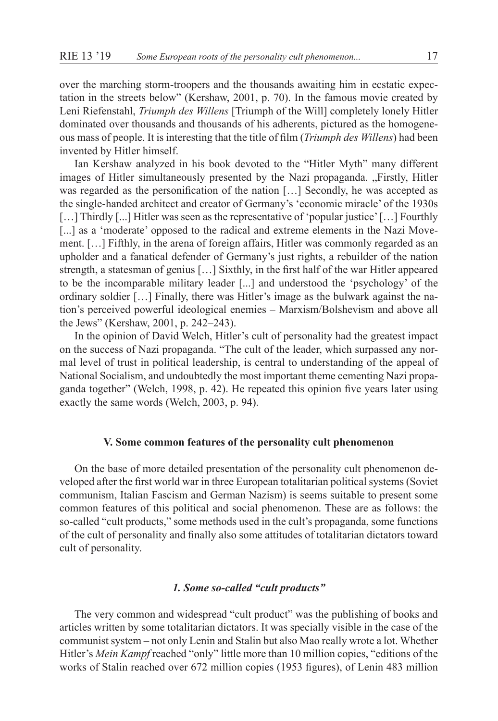over the marching storm-troopers and the thousands awaiting him in ecstatic expectation in the streets below" (Kershaw, 2001, p. 70). In the famous movie created by Leni Riefenstahl, *Triumph des Willens* [Triumph of the Will] completely lonely Hitler dominated over thousands and thousands of his adherents, pictured as the homogeneous mass of people. It is interesting that the title of film (*Triumph des Willens*) had been invented by Hitler himself.

Ian Kershaw analyzed in his book devoted to the "Hitler Myth" many different images of Hitler simultaneously presented by the Nazi propaganda. "Firstly, Hitler was regarded as the personification of the nation [...] Secondly, he was accepted as the single-handed architect and creator of Germany's 'economic miracle' of the 1930s [...] Thirdly [...] Hitler was seen as the representative of 'popular justice' [...] Fourthly [...] as a 'moderate' opposed to the radical and extreme elements in the Nazi Movement. […] Fifthly, in the arena of foreign affairs, Hitler was commonly regarded as an upholder and a fanatical defender of Germany's just rights, a rebuilder of the nation strength, a statesman of genius […] Sixthly, in the first half of the war Hitler appeared to be the incomparable military leader [...] and understood the 'psychology' of the ordinary soldier […] Finally, there was Hitler's image as the bulwark against the nation's perceived powerful ideological enemies – Marxism/Bolshevism and above all the Jews" (Kershaw, 2001, p. 242–243).

In the opinion of David Welch, Hitler's cult of personality had the greatest impact on the success of Nazi propaganda. "The cult of the leader, which surpassed any normal level of trust in political leadership, is central to understanding of the appeal of National Socialism, and undoubtedly the most important theme cementing Nazi propaganda together" (Welch, 1998, p. 42). He repeated this opinion five years later using exactly the same words (Welch, 2003, p. 94).

# **V. Some common features of the personality cult phenomenon**

On the base of more detailed presentation of the personality cult phenomenon developed after the first world war in three European totalitarian political systems (Soviet communism, Italian Fascism and German Nazism) is seems suitable to present some common features of this political and social phenomenon. These are as follows: the so-called "cult products," some methods used in the cult's propaganda, some functions of the cult of personality and finally also some attitudes of totalitarian dictators toward cult of personality.

# *1. Some so-called "cult products"*

The very common and widespread "cult product" was the publishing of books and articles written by some totalitarian dictators. It was specially visible in the case of the communist system – not only Lenin and Stalin but also Mao really wrote a lot. Whether Hitler's *Mein Kampf* reached "only" little more than 10 million copies, "editions of the works of Stalin reached over 672 million copies (1953 figures), of Lenin 483 million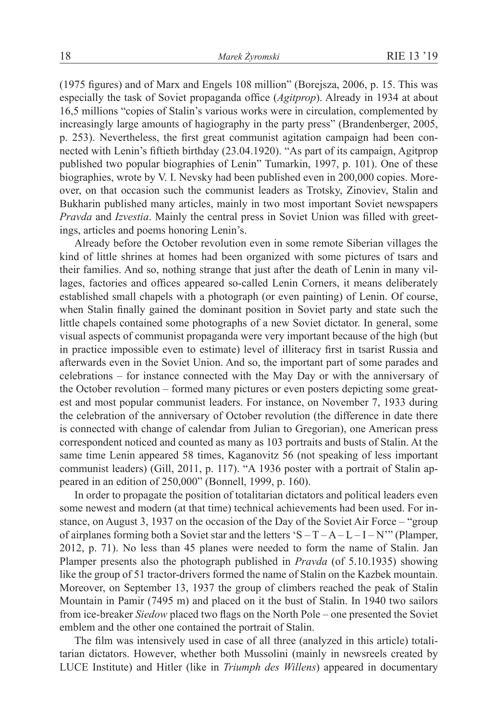(1975 figures) and of Marx and Engels 108 million" (Borejsza, 2006, p. 15. This was especially the task of Soviet propaganda office (*Agitprop*). Already in 1934 at about 16,5 millions "copies of Stalin's various works were in circulation, complemented by increasingly large amounts of hagiography in the party press" (Brandenberger, 2005, p. 253). Nevertheless, the first great communist agitation campaign had been connected with Lenin's fiftieth birthday (23.04.1920). "As part of its campaign, Agitprop published two popular biographies of Lenin" Tumarkin, 1997, p. 101). One of these biographies, wrote by V. I. Nevsky had been published even in 200,000 copies. Moreover, on that occasion such the communist leaders as Trotsky, Zinoviev, Stalin and Bukharin published many articles, mainly in two most important Soviet newspapers *Pravda* and *Izvestia*. Mainly the central press in Soviet Union was filled with greetings, articles and poems honoring Lenin's.

Already before the October revolution even in some remote Siberian villages the kind of little shrines at homes had been organized with some pictures of tsars and their families. And so, nothing strange that just after the death of Lenin in many villages, factories and offices appeared so-called Lenin Corners, it means deliberately established small chapels with a photograph (or even painting) of Lenin. Of course, when Stalin finally gained the dominant position in Soviet party and state such the little chapels contained some photographs of a new Soviet dictator. In general, some visual aspects of communist propaganda were very important because of the high (but in practice impossible even to estimate) level of illiteracy first in tsarist Russia and afterwards even in the Soviet Union. And so, the important part of some parades and celebrations – for instance connected with the May Day or with the anniversary of the October revolution – formed many pictures or even posters depicting some greatest and most popular communist leaders. For instance, on November 7, 1933 during the celebration of the anniversary of October revolution (the difference in date there is connected with change of calendar from Julian to Gregorian), one American press correspondent noticed and counted as many as 103 portraits and busts of Stalin. At the same time Lenin appeared 58 times, Kaganovitz 56 (not speaking of less important communist leaders) (Gill, 2011, p. 117). "A 1936 poster with a portrait of Stalin appeared in an edition of 250,000" (Bonnell, 1999, p. 160).

In order to propagate the position of totalitarian dictators and political leaders even some newest and modern (at that time) technical achievements had been used. For instance, on August 3, 1937 on the occasion of the Day of the Soviet Air Force – "group of airplanes forming both a Soviet star and the letters 'S –  $T - A - L - I - N$ " (Plamper, 2012, p. 71). No less than 45 planes were needed to form the name of Stalin. Jan Plamper presents also the photograph published in *Pravda* (of 5.10.1935) showing like the group of 51 tractor-drivers formed the name of Stalin on the Kazbek mountain. Moreover, on September 13, 1937 the group of climbers reached the peak of Stalin Mountain in Pamir (7495 m) and placed on it the bust of Stalin. In 1940 two sailors from ice-breaker *Siedow* placed two flags on the North Pole – one presented the Soviet emblem and the other one contained the portrait of Stalin.

The film was intensively used in case of all three (analyzed in this article) totalitarian dictators. However, whether both Mussolini (mainly in newsreels created by LUCE Institute) and Hitler (like in *Triumph des Willens*) appeared in documentary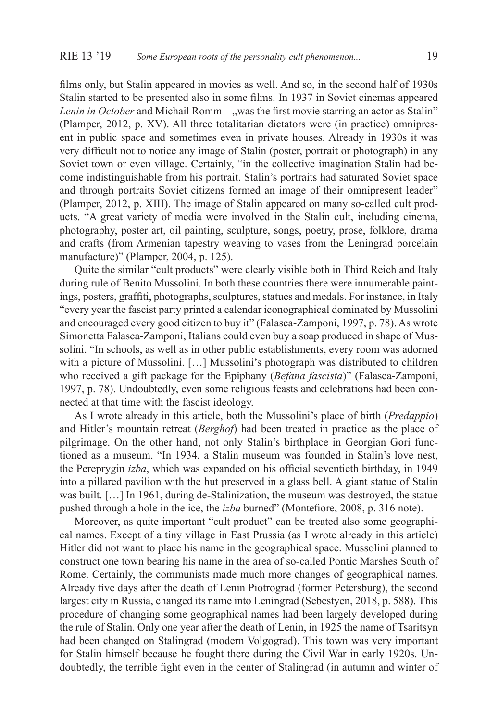films only, but Stalin appeared in movies as well. And so, in the second half of 1930s Stalin started to be presented also in some films. In 1937 in Soviet cinemas appeared *Lenin in October* and Michail Romm – "was the first movie starring an actor as Stalin" (Plamper, 2012, p. XV). All three totalitarian dictators were (in practice) omnipresent in public space and sometimes even in private houses. Already in 1930s it was very difficult not to notice any image of Stalin (poster, portrait or photograph) in any Soviet town or even village. Certainly, "in the collective imagination Stalin had become indistinguishable from his portrait. Stalin's portraits had saturated Soviet space and through portraits Soviet citizens formed an image of their omnipresent leader" (Plamper, 2012, p. XIII). The image of Stalin appeared on many so-called cult products. "A great variety of media were involved in the Stalin cult, including cinema, photography, poster art, oil painting, sculpture, songs, poetry, prose, folklore, drama and crafts (from Armenian tapestry weaving to vases from the Leningrad porcelain manufacture)" (Plamper, 2004, p. 125).

Quite the similar "cult products" were clearly visible both in Third Reich and Italy during rule of Benito Mussolini. In both these countries there were innumerable paintings, posters, graffiti, photographs, sculptures, statues and medals. For instance, in Italy "every year the fascist party printed a calendar iconographical dominated by Mussolini and encouraged every good citizen to buy it" (Falasca-Zamponi, 1997, p. 78). As wrote Simonetta Falasca-Zamponi, Italians could even buy a soap produced in shape of Mussolini. "In schools, as well as in other public establishments, every room was adorned with a picture of Mussolini. […] Mussolini's photograph was distributed to children who received a gift package for the Epiphany (*Befana fascista*)" (Falasca-Zamponi, 1997, p. 78). Undoubtedly, even some religious feasts and celebrations had been connected at that time with the fascist ideology.

As I wrote already in this article, both the Mussolini's place of birth (*Predappio*) and Hitler's mountain retreat (*Berghof*) had been treated in practice as the place of pilgrimage. On the other hand, not only Stalin's birthplace in Georgian Gori functioned as a museum. "In 1934, a Stalin museum was founded in Stalin's love nest, the Pereprygin *izba*, which was expanded on his official seventieth birthday, in 1949 into a pillared pavilion with the hut preserved in a glass bell. A giant statue of Stalin was built. […] In 1961, during de-Stalinization, the museum was destroyed, the statue pushed through a hole in the ice, the *izba* burned" (Montefiore, 2008, p. 316 note).

Moreover, as quite important "cult product" can be treated also some geographical names. Except of a tiny village in East Prussia (as I wrote already in this article) Hitler did not want to place his name in the geographical space. Mussolini planned to construct one town bearing his name in the area of so-called Pontic Marshes South of Rome. Certainly, the communists made much more changes of geographical names. Already five days after the death of Lenin Piotrograd (former Petersburg), the second largest city in Russia, changed its name into Leningrad (Sebestyen, 2018, p. 588). This procedure of changing some geographical names had been largely developed during the rule of Stalin. Only one year after the death of Lenin, in 1925 the name of Tsaritsyn had been changed on Stalingrad (modern Volgograd). This town was very important for Stalin himself because he fought there during the Civil War in early 1920s. Undoubtedly, the terrible fight even in the center of Stalingrad (in autumn and winter of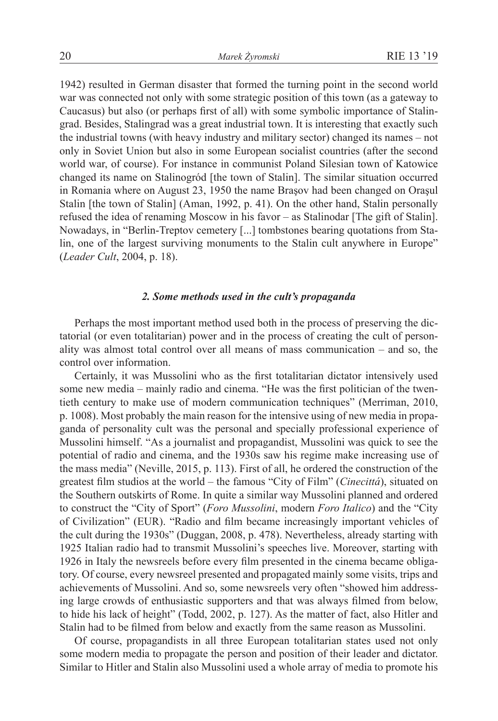1942) resulted in German disaster that formed the turning point in the second world war was connected not only with some strategic position of this town (as a gateway to Caucasus) but also (or perhaps first of all) with some symbolic importance of Stalingrad. Besides, Stalingrad was a great industrial town. It is interesting that exactly such the industrial towns (with heavy industry and military sector) changed its names – not only in Soviet Union but also in some European socialist countries (after the second world war, of course). For instance in communist Poland Silesian town of Katowice changed its name on Stalinogród [the town of Stalin]. The similar situation occurred in Romania where on August 23, 1950 the name Braşov had been changed on Oraşul Stalin [the town of Stalin] (Aman, 1992, p. 41). On the other hand, Stalin personally refused the idea of renaming Moscow in his favor – as Stalinodar [The gift of Stalin]. Nowadays, in "Berlin-Treptov cemetery [...] tombstones bearing quotations from Stalin, one of the largest surviving monuments to the Stalin cult anywhere in Europe" (*Leader Cult*, 2004, p. 18).

# *2. Some methods used in the cult's propaganda*

Perhaps the most important method used both in the process of preserving the dictatorial (or even totalitarian) power and in the process of creating the cult of personality was almost total control over all means of mass communication – and so, the control over information.

Certainly, it was Mussolini who as the first totalitarian dictator intensively used some new media – mainly radio and cinema. "He was the first politician of the twentieth century to make use of modern communication techniques" (Merriman, 2010, p. 1008). Most probably the main reason for the intensive using of new media in propaganda of personality cult was the personal and specially professional experience of Mussolini himself. "As a journalist and propagandist, Mussolini was quick to see the potential of radio and cinema, and the 1930s saw his regime make increasing use of the mass media" (Neville, 2015, p. 113). First of all, he ordered the construction of the greatest film studios at the world – the famous "City of Film" (*Cinecittá*), situated on the Southern outskirts of Rome. In quite a similar way Mussolini planned and ordered to construct the "City of Sport" (*Foro Mussolini*, modern *Foro Italico*) and the "City of Civilization" (EUR). "Radio and film became increasingly important vehicles of the cult during the 1930s" (Duggan, 2008, p. 478). Nevertheless, already starting with 1925 Italian radio had to transmit Mussolini's speeches live. Moreover, starting with 1926 in Italy the newsreels before every film presented in the cinema became obligatory. Of course, every newsreel presented and propagated mainly some visits, trips and achievements of Mussolini. And so, some newsreels very often "showed him addressing large crowds of enthusiastic supporters and that was always filmed from below, to hide his lack of height" (Todd, 2002, p. 127). As the matter of fact, also Hitler and Stalin had to be filmed from below and exactly from the same reason as Mussolini.

Of course, propagandists in all three European totalitarian states used not only some modern media to propagate the person and position of their leader and dictator. Similar to Hitler and Stalin also Mussolini used a whole array of media to promote his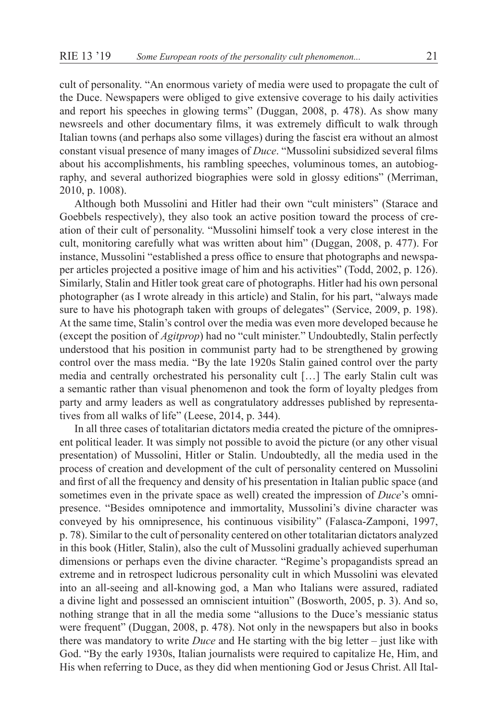cult of personality. "An enormous variety of media were used to propagate the cult of the Duce. Newspapers were obliged to give extensive coverage to his daily activities and report his speeches in glowing terms" (Duggan, 2008, p. 478). As show many newsreels and other documentary films, it was extremely difficult to walk through Italian towns (and perhaps also some villages) during the fascist era without an almost constant visual presence of many images of *Duce*. "Mussolini subsidized several films about his accomplishments, his rambling speeches, voluminous tomes, an autobiography, and several authorized biographies were sold in glossy editions" (Merriman, 2010, p. 1008).

Although both Mussolini and Hitler had their own "cult ministers" (Starace and Goebbels respectively), they also took an active position toward the process of creation of their cult of personality. "Mussolini himself took a very close interest in the cult, monitoring carefully what was written about him" (Duggan, 2008, p. 477). For instance, Mussolini "established a press office to ensure that photographs and newspaper articles projected a positive image of him and his activities" (Todd, 2002, p. 126). Similarly, Stalin and Hitler took great care of photographs. Hitler had his own personal photographer (as I wrote already in this article) and Stalin, for his part, "always made sure to have his photograph taken with groups of delegates" (Service, 2009, p. 198). At the same time, Stalin's control over the media was even more developed because he (except the position of *Agitprop*) had no "cult minister." Undoubtedly, Stalin perfectly understood that his position in communist party had to be strengthened by growing control over the mass media. "By the late 1920s Stalin gained control over the party media and centrally orchestrated his personality cult […] The early Stalin cult was a semantic rather than visual phenomenon and took the form of loyalty pledges from party and army leaders as well as congratulatory addresses published by representatives from all walks of life" (Leese, 2014, p. 344).

In all three cases of totalitarian dictators media created the picture of the omnipresent political leader. It was simply not possible to avoid the picture (or any other visual presentation) of Mussolini, Hitler or Stalin. Undoubtedly, all the media used in the process of creation and development of the cult of personality centered on Mussolini and first of all the frequency and density of his presentation in Italian public space (and sometimes even in the private space as well) created the impression of *Duce*'s omnipresence. "Besides omnipotence and immortality, Mussolini's divine character was conveyed by his omnipresence, his continuous visibility" (Falasca-Zamponi, 1997, p. 78). Similar to the cult of personality centered on other totalitarian dictators analyzed in this book (Hitler, Stalin), also the cult of Mussolini gradually achieved superhuman dimensions or perhaps even the divine character. "Regime's propagandists spread an extreme and in retrospect ludicrous personality cult in which Mussolini was elevated into an all-seeing and all-knowing god, a Man who Italians were assured, radiated a divine light and possessed an omniscient intuition" (Bosworth, 2005, p. 3). And so, nothing strange that in all the media some "allusions to the Duce's messianic status were frequent" (Duggan, 2008, p. 478). Not only in the newspapers but also in books there was mandatory to write *Duce* and He starting with the big letter – just like with God. "By the early 1930s, Italian journalists were required to capitalize He, Him, and His when referring to Duce, as they did when mentioning God or Jesus Christ. All Ital-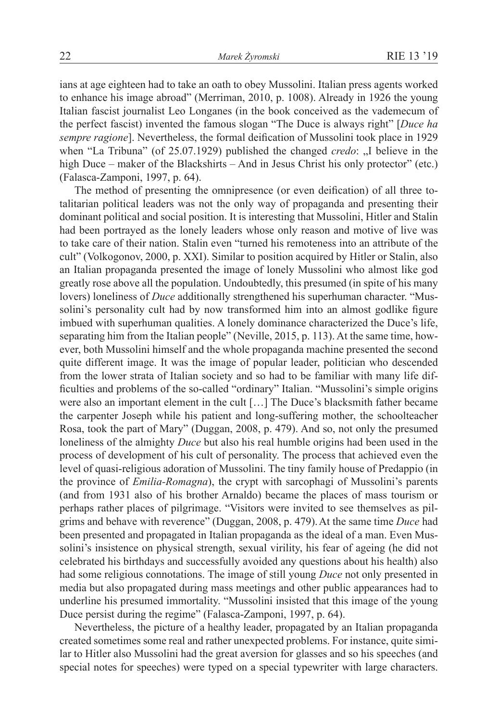ians at age eighteen had to take an oath to obey Mussolini. Italian press agents worked to enhance his image abroad" (Merriman, 2010, p. 1008). Already in 1926 the young Italian fascist journalist Leo Longanes (in the book conceived as the vademecum of the perfect fascist) invented the famous slogan "The Duce is always right" [*Duce ha sempre ragione*]. Nevertheless, the formal deification of Mussolini took place in 1929 when "La Tribuna" (of 25.07.1929) published the changed *credo*: "I believe in the high Duce – maker of the Blackshirts – And in Jesus Christ his only protector" (etc.) (Falasca-Zamponi, 1997, p. 64).

The method of presenting the omnipresence (or even deification) of all three totalitarian political leaders was not the only way of propaganda and presenting their dominant political and social position. It is interesting that Mussolini, Hitler and Stalin had been portrayed as the lonely leaders whose only reason and motive of live was to take care of their nation. Stalin even "turned his remoteness into an attribute of the cult" (Volkogonov, 2000, p. XXI). Similar to position acquired by Hitler or Stalin, also an Italian propaganda presented the image of lonely Mussolini who almost like god greatly rose above all the population. Undoubtedly, this presumed (in spite of his many lovers) loneliness of *Duce* additionally strengthened his superhuman character. "Mussolini's personality cult had by now transformed him into an almost godlike figure imbued with superhuman qualities. A lonely dominance characterized the Duce's life, separating him from the Italian people" (Neville, 2015, p. 113). At the same time, however, both Mussolini himself and the whole propaganda machine presented the second quite different image. It was the image of popular leader, politician who descended from the lower strata of Italian society and so had to be familiar with many life difficulties and problems of the so-called "ordinary" Italian. "Mussolini's simple origins were also an important element in the cult […] The Duce's blacksmith father became the carpenter Joseph while his patient and long-suffering mother, the schoolteacher Rosa, took the part of Mary" (Duggan, 2008, p. 479). And so, not only the presumed loneliness of the almighty *Duce* but also his real humble origins had been used in the process of development of his cult of personality. The process that achieved even the level of quasi-religious adoration of Mussolini. The tiny family house of Predappio (in the province of *Emilia-Romagna*), the crypt with sarcophagi of Mussolini's parents (and from 1931 also of his brother Arnaldo) became the places of mass tourism or perhaps rather places of pilgrimage. "Visitors were invited to see themselves as pilgrims and behave with reverence" (Duggan, 2008, p. 479).At the same time *Duce* had been presented and propagated in Italian propaganda as the ideal of a man. Even Mussolini's insistence on physical strength, sexual virility, his fear of ageing (he did not celebrated his birthdays and successfully avoided any questions about his health) also had some religious connotations. The image of still young *Duce* not only presented in media but also propagated during mass meetings and other public appearances had to underline his presumed immortality. "Mussolini insisted that this image of the young Duce persist during the regime" (Falasca-Zamponi, 1997, p. 64).

Nevertheless, the picture of a healthy leader, propagated by an Italian propaganda created sometimes some real and rather unexpected problems. For instance, quite similar to Hitler also Mussolini had the great aversion for glasses and so his speeches (and special notes for speeches) were typed on a special typewriter with large characters.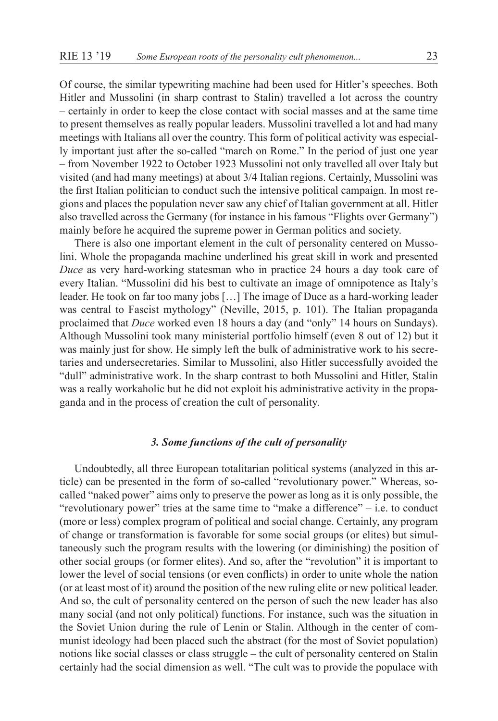Of course, the similar typewriting machine had been used for Hitler's speeches. Both Hitler and Mussolini (in sharp contrast to Stalin) travelled a lot across the country – certainly in order to keep the close contact with social masses and at the same time to present themselves as really popular leaders. Mussolini travelled a lot and had many meetings with Italians all over the country. This form of political activity was especially important just after the so-called "march on Rome." In the period of just one year – from November 1922 to October 1923 Mussolini not only travelled all over Italy but visited (and had many meetings) at about 3/4 Italian regions. Certainly, Mussolini was the first Italian politician to conduct such the intensive political campaign. In most regions and places the population never saw any chief of Italian government at all. Hitler also travelled across the Germany (for instance in his famous "Flights over Germany") mainly before he acquired the supreme power in German politics and society.

There is also one important element in the cult of personality centered on Mussolini. Whole the propaganda machine underlined his great skill in work and presented *Duce* as very hard-working statesman who in practice 24 hours a day took care of every Italian. "Mussolini did his best to cultivate an image of omnipotence as Italy's leader. He took on far too many jobs […] The image of Duce as a hard-working leader was central to Fascist mythology" (Neville, 2015, p. 101). The Italian propaganda proclaimed that *Duce* worked even 18 hours a day (and "only" 14 hours on Sundays). Although Mussolini took many ministerial portfolio himself (even 8 out of 12) but it was mainly just for show. He simply left the bulk of administrative work to his secretaries and undersecretaries. Similar to Mussolini, also Hitler successfully avoided the "dull" administrative work. In the sharp contrast to both Mussolini and Hitler, Stalin was a really workaholic but he did not exploit his administrative activity in the propaganda and in the process of creation the cult of personality.

# *3. Some functions of the cult of personality*

Undoubtedly, all three European totalitarian political systems (analyzed in this article) can be presented in the form of so-called "revolutionary power." Whereas, socalled "naked power" aims only to preserve the power as long as it is only possible, the "revolutionary power" tries at the same time to "make a difference" – i.e. to conduct (more or less) complex program of political and social change. Certainly, any program of change or transformation is favorable for some social groups (or elites) but simultaneously such the program results with the lowering (or diminishing) the position of other social groups (or former elites). And so, after the "revolution" it is important to lower the level of social tensions (or even conflicts) in order to unite whole the nation (or at least most of it) around the position of the new ruling elite or new political leader. And so, the cult of personality centered on the person of such the new leader has also many social (and not only political) functions. For instance, such was the situation in the Soviet Union during the rule of Lenin or Stalin. Although in the center of communist ideology had been placed such the abstract (for the most of Soviet population) notions like social classes or class struggle – the cult of personality centered on Stalin certainly had the social dimension as well. "The cult was to provide the populace with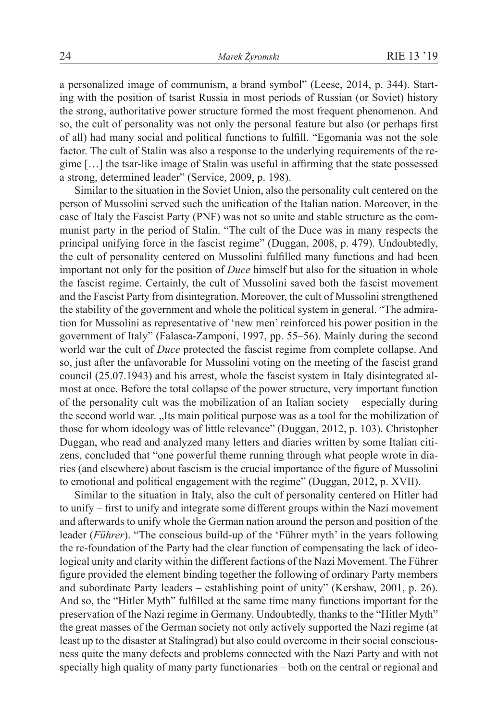a personalized image of communism, a brand symbol" (Leese, 2014, p. 344). Starting with the position of tsarist Russia in most periods of Russian (or Soviet) history the strong, authoritative power structure formed the most frequent phenomenon. And so, the cult of personality was not only the personal feature but also (or perhaps first of all) had many social and political functions to fulfill. "Egomania was not the sole factor. The cult of Stalin was also a response to the underlying requirements of the regime […] the tsar-like image of Stalin was useful in affirming that the state possessed a strong, determined leader" (Service, 2009, p. 198).

Similar to the situation in the Soviet Union, also the personality cult centered on the person of Mussolini served such the unification of the Italian nation. Moreover, in the case of Italy the Fascist Party (PNF) was not so unite and stable structure as the communist party in the period of Stalin. "The cult of the Duce was in many respects the principal unifying force in the fascist regime" (Duggan, 2008, p. 479). Undoubtedly, the cult of personality centered on Mussolini fulfilled many functions and had been important not only for the position of *Duce* himself but also for the situation in whole the fascist regime. Certainly, the cult of Mussolini saved both the fascist movement and the Fascist Party from disintegration. Moreover, the cult of Mussolini strengthened the stability of the government and whole the political system in general. "The admiration for Mussolini as representative of 'new men' reinforced his power position in the government of Italy" (Falasca-Zamponi, 1997, pp. 55–56). Mainly during the second world war the cult of *Duce* protected the fascist regime from complete collapse. And so, just after the unfavorable for Mussolini voting on the meeting of the fascist grand council (25.07.1943) and his arrest, whole the fascist system in Italy disintegrated almost at once. Before the total collapse of the power structure, very important function of the personality cult was the mobilization of an Italian society – especially during the second world war. "Its main political purpose was as a tool for the mobilization of those for whom ideology was of little relevance" (Duggan, 2012, p. 103). Christopher Duggan, who read and analyzed many letters and diaries written by some Italian citizens, concluded that "one powerful theme running through what people wrote in diaries (and elsewhere) about fascism is the crucial importance of the figure of Mussolini to emotional and political engagement with the regime" (Duggan, 2012, p. XVII).

Similar to the situation in Italy, also the cult of personality centered on Hitler had to unify – first to unify and integrate some different groups within the Nazi movement and afterwards to unify whole the German nation around the person and position of the leader (*Führer*). "The conscious build-up of the 'Führer myth' in the years following the re-foundation of the Party had the clear function of compensating the lack of ideological unity and clarity within the different factions of the Nazi Movement. The Führer figure provided the element binding together the following of ordinary Party members and subordinate Party leaders – establishing point of unity" (Kershaw, 2001, p. 26). And so, the "Hitler Myth" fulfilled at the same time many functions important for the preservation of the Nazi regime in Germany. Undoubtedly, thanks to the "Hitler Myth" the great masses of the German society not only actively supported the Nazi regime (at least up to the disaster at Stalingrad) but also could overcome in their social consciousness quite the many defects and problems connected with the Nazi Party and with not specially high quality of many party functionaries – both on the central or regional and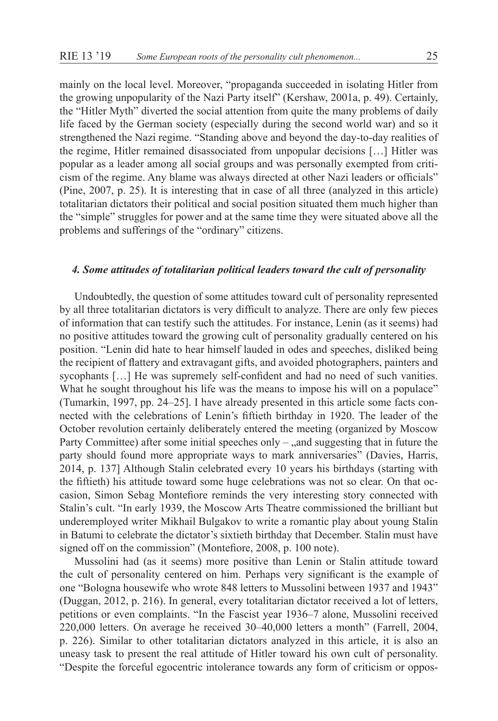mainly on the local level. Moreover, "propaganda succeeded in isolating Hitler from the growing unpopularity of the Nazi Party itself" (Kershaw, 2001a, p. 49). Certainly, the "Hitler Myth" diverted the social attention from quite the many problems of daily life faced by the German society (especially during the second world war) and so it strengthened the Nazi regime. "Standing above and beyond the day-to-day realities of the regime, Hitler remained disassociated from unpopular decisions […] Hitler was popular as a leader among all social groups and was personally exempted from criticism of the regime. Any blame was always directed at other Nazi leaders or officials" (Pine, 2007, p. 25). It is interesting that in case of all three (analyzed in this article) totalitarian dictators their political and social position situated them much higher than the "simple" struggles for power and at the same time they were situated above all the problems and sufferings of the "ordinary" citizens.

# *4. Some attitudes of totalitarian political leaders toward the cult of personality*

Undoubtedly, the question of some attitudes toward cult of personality represented by all three totalitarian dictators is very difficult to analyze. There are only few pieces of information that can testify such the attitudes. For instance, Lenin (as it seems) had no positive attitudes toward the growing cult of personality gradually centered on his position. "Lenin did hate to hear himself lauded in odes and speeches, disliked being the recipient of flattery and extravagant gifts, and avoided photographers, painters and sycophants [...] He was supremely self-confident and had no need of such vanities. What he sought throughout his life was the means to impose his will on a populace" (Tumarkin, 1997, pp. 24–25]. I have already presented in this article some facts connected with the celebrations of Lenin's fiftieth birthday in 1920. The leader of the October revolution certainly deliberately entered the meeting (organized by Moscow Party Committee) after some initial speeches only  $-$ , and suggesting that in future the party should found more appropriate ways to mark anniversaries" (Davies, Harris, 2014, p. 137] Although Stalin celebrated every 10 years his birthdays (starting with the fiftieth) his attitude toward some huge celebrations was not so clear. On that occasion, Simon Sebag Montefiore reminds the very interesting story connected with Stalin's cult. "In early 1939, the Moscow Arts Theatre commissioned the brilliant but underemployed writer Mikhail Bulgakov to write a romantic play about young Stalin in Batumi to celebrate the dictator's sixtieth birthday that December. Stalin must have signed off on the commission" (Montefiore, 2008, p. 100 note).

Mussolini had (as it seems) more positive than Lenin or Stalin attitude toward the cult of personality centered on him. Perhaps very significant is the example of one "Bologna housewife who wrote 848 letters to Mussolini between 1937 and 1943" (Duggan, 2012, p. 216). In general, every totalitarian dictator received a lot of letters, petitions or even complaints. "In the Fascist year 1936–7 alone, Mussolini received 220,000 letters. On average he received 30–40,000 letters a month" (Farrell, 2004, p. 226). Similar to other totalitarian dictators analyzed in this article, it is also an uneasy task to present the real attitude of Hitler toward his own cult of personality. "Despite the forceful egocentric intolerance towards any form of criticism or oppos-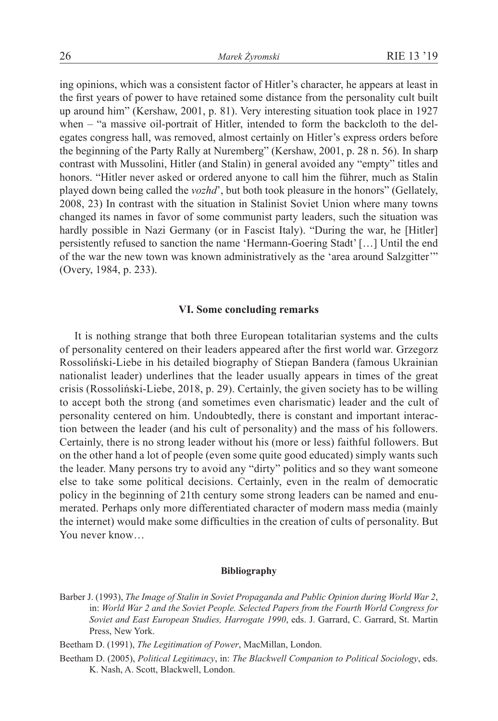ing opinions, which was a consistent factor of Hitler's character, he appears at least in the first years of power to have retained some distance from the personality cult built up around him" (Kershaw, 2001, p. 81). Very interesting situation took place in 1927 when – "a massive oil-portrait of Hitler, intended to form the backcloth to the delegates congress hall, was removed, almost certainly on Hitler's express orders before the beginning of the Party Rally at Nuremberg" (Kershaw, 2001, p. 28 n. 56). In sharp contrast with Mussolini, Hitler (and Stalin) in general avoided any "empty" titles and honors. "Hitler never asked or ordered anyone to call him the führer, much as Stalin played down being called the *vozhd*', but both took pleasure in the honors" (Gellately, 2008, 23) In contrast with the situation in Stalinist Soviet Union where many towns changed its names in favor of some communist party leaders, such the situation was hardly possible in Nazi Germany (or in Fascist Italy). "During the war, he [Hitler] persistently refused to sanction the name 'Hermann-Goering Stadt' […] Until the end of the war the new town was known administratively as the 'area around Salzgitter'" (Overy, 1984, p. 233).

# **VI. Some concluding remarks**

It is nothing strange that both three European totalitarian systems and the cults of personality centered on their leaders appeared after the first world war. Grzegorz Rossoliński-Liebe in his detailed biography of Stiepan Bandera (famous Ukrainian nationalist leader) underlines that the leader usually appears in times of the great crisis (Rossoliński-Liebe, 2018, p. 29). Certainly, the given society has to be willing to accept both the strong (and sometimes even charismatic) leader and the cult of personality centered on him. Undoubtedly, there is constant and important interaction between the leader (and his cult of personality) and the mass of his followers. Certainly, there is no strong leader without his (more or less) faithful followers. But on the other hand a lot of people (even some quite good educated) simply wants such the leader. Many persons try to avoid any "dirty" politics and so they want someone else to take some political decisions. Certainly, even in the realm of democratic policy in the beginning of 21th century some strong leaders can be named and enumerated. Perhaps only more differentiated character of modern mass media (mainly the internet) would make some difficulties in the creation of cults of personality. But You never know…

#### **Bibliography**

- Barber J. (1993), *The Image of Stalin in Soviet Propaganda and Public Opinion during World War 2*, in: *World War 2 and the Soviet People. Selected Papers from the Fourth World Congress for Soviet and East European Studies, Harrogate 1990*, eds. J. Garrard, C. Garrard, St. Martin Press, New York.
- Beetham D. (1991), *The Legitimation of Power*, MacMillan, London.
- Beetham D. (2005), *Political Legitimacy*, in: *The Blackwell Companion to Political Sociology*, eds. K. Nash, A. Scott, Blackwell, London.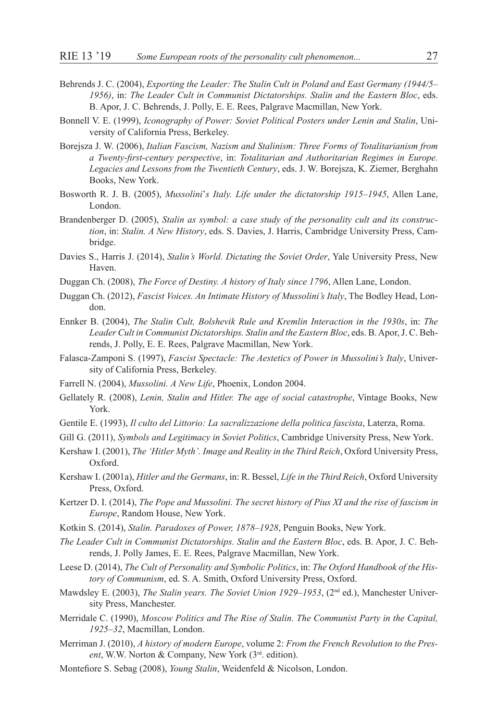- Behrends J. C. (2004), *Exporting the Leader: The Stalin Cult in Poland and East Germany (1944/5– 1956)*, in: *The Leader Cult in Communist Dictatorships. Stalin and the Eastern Bloc*, eds. B. Apor, J. C. Behrends, J. Polly, E. E. Rees, Palgrave Macmillan, New York.
- Bonnell V. E. (1999), *Iconography of Power: Soviet Political Posters under Lenin and Stalin*, University of California Press, Berkeley.
- Borejsza J. W. (2006), *Italian Fascism, Nazism and Stalinism: Three Forms of Totalitarianism from a Twenty-first-century perspective*, in: *Totalitarian and Authoritarian Regimes in Europe. Legacies and Lessons from the Twentieth Century*, eds. J. W. Borejsza, K. Ziemer, Berghahn Books, New York.
- Bosworth R. J. B. (2005), *Mussolini*'*s Italy. Life under the dictatorship 1915–1945*, Allen Lane, London.
- Brandenberger D. (2005), *Stalin as symbol: a case study of the personality cult and its construction*, in: *Stalin. A New History*, eds. S. Davies, J. Harris, Cambridge University Press, Cambridge.
- Davies S., Harris J. (2014), *Stalin's World. Dictating the Soviet Order*, Yale University Press, New Haven.
- Duggan Ch. (2008), *The Force of Destiny. A history of Italy since 1796*, Allen Lane, London.
- Duggan Ch. (2012), *Fascist Voices. An Intimate History of Mussolini's Italy*, The Bodley Head, London.
- Ennker B. (2004), *The Stalin Cult, Bolshevik Rule and Kremlin Interaction in the 1930s*, in: *The Leader Cult in Communist Dictatorships. Stalin and the Eastern Bloc*, eds. B. Apor, J. C. Behrends, J. Polly, E. E. Rees, Palgrave Macmillan, New York.
- Falasca-Zamponi S. (1997), *Fascist Spectacle: The Aestetics of Power in Mussolini's Italy*, University of California Press, Berkeley.
- Farrell N. (2004), *Mussolini. A New Life*, Phoenix, London 2004.
- Gellately R. (2008), *Lenin, Stalin and Hitler. The age of social catastrophe*, Vintage Books, New York.
- Gentile E. (1993), *Il culto del Littorio: La sacralizzazione della politica fascista*, Laterza, Roma.
- Gill G. (2011), *Symbols and Legitimacy in Soviet Politics*, Cambridge University Press, New York.
- Kershaw I. (2001), *The 'Hitler Myth'. Image and Reality in the Third Reich*, Oxford University Press, Oxford.
- Kershaw I. (2001a), *Hitler and the Germans*, in: R. Bessel, *Life in the Third Reich*, Oxford University Press, Oxford.
- Kertzer D. I. (2014), *The Pope and Mussolini. The secret history of Pius XI and the rise of fascism in Europe*, Random House, New York.
- Kotkin S. (2014), *Stalin. Paradoxes of Power, 1878–1928*, Penguin Books, New York.
- *The Leader Cult in Communist Dictatorships. Stalin and the Eastern Bloc*, eds. B. Apor, J. C. Behrends, J. Polly James, E. E. Rees, Palgrave Macmillan, New York.
- Leese D. (2014), *The Cult of Personality and Symbolic Politics*, in: *The Oxford Handbook of the History of Communism*, ed. S. A. Smith, Oxford University Press, Oxford.
- Mawdsley E. (2003), *The Stalin years. The Soviet Union 1929–1953*, (2nd ed.), Manchester University Press, Manchester.
- Merridale C. (1990), *Moscow Politics and The Rise of Stalin. The Communist Party in the Capital, 1925–32*, Macmillan, London.
- Merriman J. (2010), *A history of modern Europe*, volume 2: *From the French Revolution to the Pres*ent, W.W. Norton & Company, New York (3<sup>rd</sup>. edition).
- Montefiore S. Sebag (2008), *Young Stalin*, Weidenfeld & Nicolson, London.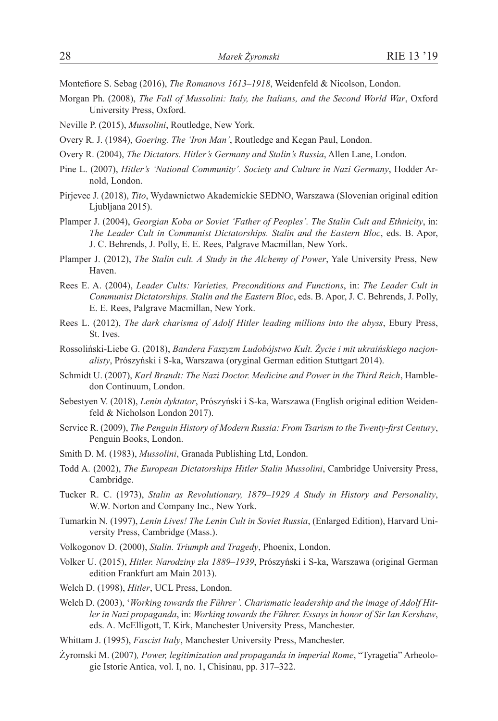Montefiore S. Sebag (2016), *The Romanovs 1613–1918*, Weidenfeld & Nicolson, London.

- Morgan Ph. (2008), *The Fall of Mussolini: Italy, the Italians, and the Second World War*, Oxford University Press, Oxford.
- Neville P. (2015), *Mussolini*, Routledge, New York.
- Overy R. J. (1984), *Goering. The 'Iron Man'*, Routledge and Kegan Paul, London.
- Overy R. (2004), *The Dictators. Hitler's Germany and Stalin's Russia*, Allen Lane, London.
- Pine L. (2007), *Hitler's 'National Community'. Society and Culture in Nazi Germany*, Hodder Arnold, London.
- Pirjevec J. (2018), *Tito*, Wydawnictwo Akademickie SEDNO, Warszawa (Slovenian original edition Liubliana 2015).
- Plamper J. (2004), *Georgian Koba or Soviet 'Father of Peoples'. The Stalin Cult and Ethnicity*, in: *The Leader Cult in Communist Dictatorships. Stalin and the Eastern Bloc*, eds. B. Apor, J. C. Behrends, J. Polly, E. E. Rees, Palgrave Macmillan, New York.
- Plamper J. (2012), *The Stalin cult. A Study in the Alchemy of Power*, Yale University Press, New Haven.
- Rees E. A. (2004), *Leader Cults: Varieties, Preconditions and Functions*, in: *The Leader Cult in Communist Dictatorships. Stalin and the Eastern Bloc*, eds. B. Apor, J. C. Behrends, J. Polly, E. E. Rees, Palgrave Macmillan, New York.
- Rees L. (2012), *The dark charisma of Adolf Hitler leading millions into the abyss*, Ebury Press, St. Ives.
- Rossoliński-Liebe G. (2018), *Bandera Faszyzm Ludobójstwo Kult. Życie i mit ukraińskiego nacjonalisty*, Prószyński i S-ka, Warszawa (oryginal German edition Stuttgart 2014).
- Schmidt U. (2007), *Karl Brandt: The Nazi Doctor. Medicine and Power in the Third Reich*, Hambledon Continuum, London.
- Sebestyen V. (2018), *Lenin dyktator*, Prószyński i S-ka, Warszawa (English original edition Weidenfeld & Nicholson London 2017).
- Service R. (2009), *The Penguin History of Modern Russia: From Tsarism to the Twenty-first Century*, Penguin Books, London.
- Smith D. M. (1983), *Mussolini*, Granada Publishing Ltd, London.
- Todd A. (2002), *The European Dictatorships Hitler Stalin Mussolini*, Cambridge University Press, Cambridge.
- Tucker R. C. (1973), *Stalin as Revolutionary, 1879–1929 A Study in History and Personality*, W.W. Norton and Company Inc., New York.
- Tumarkin N. (1997), *Lenin Lives! The Lenin Cult in Soviet Russia*, (Enlarged Edition), Harvard University Press, Cambridge (Mass.).
- Volkogonov D. (2000), *Stalin. Triumph and Tragedy*, Phoenix, London.
- Volker U. (2015), *Hitler. Narodziny zła 1889–1939*, Prószyński i S-ka, Warszawa (original German edition Frankfurt am Main 2013).
- Welch D. (1998), *Hitler*, UCL Press, London.
- Welch D. (2003), '*Working towards the Führer'. Charismatic leadership and the image of Adolf Hitler in Nazi propaganda*, in: *Working towards the Führer. Essays in honor of Sir Ian Kershaw*, eds. A. McElligott, T. Kirk, Manchester University Press, Manchester.
- Whittam J. (1995), *Fascist Italy*, Manchester University Press, Manchester.
- Żyromski M. (2007)*, Power, legitimization and propaganda in imperial Rome*, "Tyragetia" Arheologie Istorie Antica, vol. I, no. 1, Chisinau, pp. 317–322.